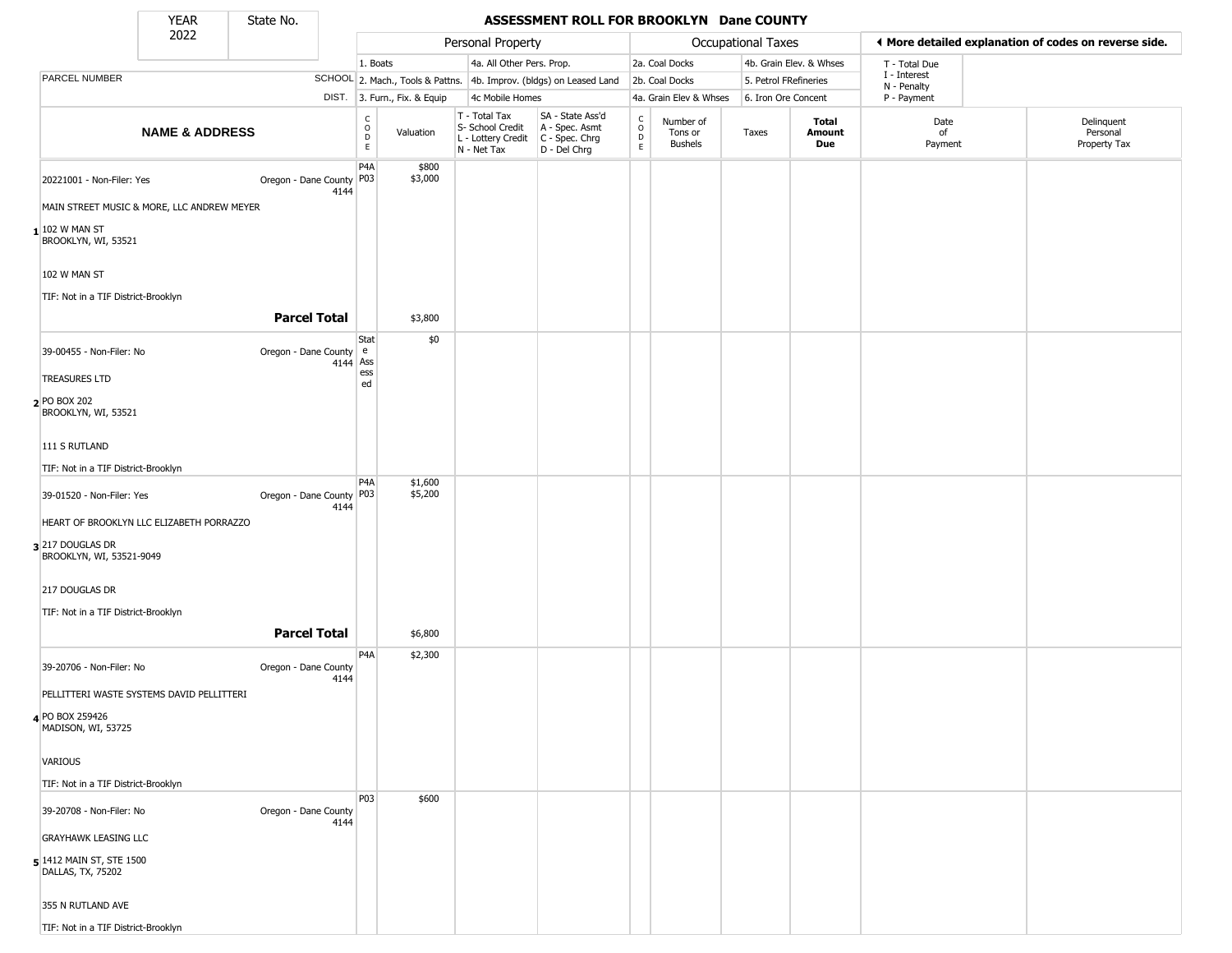State No.

Г

## YEAR **ASSESSMENT ROLL FOR BROOKLYN Dane COUNTY**

|                                                | 2022                                       |                          |      |                        |                              | Personal Property                                                      |                                                                      |                                                |                                        | <b>Occupational Taxes</b> |                         |                            | ◀ More detailed explanation of codes on reverse side. |
|------------------------------------------------|--------------------------------------------|--------------------------|------|------------------------|------------------------------|------------------------------------------------------------------------|----------------------------------------------------------------------|------------------------------------------------|----------------------------------------|---------------------------|-------------------------|----------------------------|-------------------------------------------------------|
|                                                |                                            |                          |      | 1. Boats               |                              | 4a. All Other Pers. Prop.                                              |                                                                      |                                                | 2a. Coal Docks                         |                           | 4b. Grain Elev. & Whses | T - Total Due              |                                                       |
| PARCEL NUMBER                                  |                                            |                          |      |                        |                              |                                                                        | SCHOOL 2. Mach., Tools & Pattns. 4b. Improv. (bldgs) on Leased Land  |                                                | 2b. Coal Docks                         | 5. Petrol FRefineries     |                         | I - Interest               |                                                       |
|                                                |                                            |                          |      |                        | DIST. 3. Furn., Fix. & Equip | 4c Mobile Homes                                                        |                                                                      |                                                | 4a. Grain Elev & Whses                 | 6. Iron Ore Concent       |                         | N - Penalty<br>P - Payment |                                                       |
|                                                | <b>NAME &amp; ADDRESS</b>                  |                          |      | C<br>$\circ$<br>D<br>E | Valuation                    | T - Total Tax<br>S- School Credit<br>L - Lottery Credit<br>N - Net Tax | SA - State Ass'd<br>A - Spec. Asmt<br>C - Spec. Chrg<br>D - Del Chrg | $\begin{matrix} 0 \\ 0 \\ D \end{matrix}$<br>E | Number of<br>Tons or<br><b>Bushels</b> | Taxes                     | Total<br>Amount<br>Due  | Date<br>of<br>Payment      | Delinquent<br>Personal<br>Property Tax                |
| 20221001 - Non-Filer: Yes                      |                                            | Oregon - Dane County P03 | 4144 | P4A                    | \$800<br>\$3,000             |                                                                        |                                                                      |                                                |                                        |                           |                         |                            |                                                       |
|                                                | MAIN STREET MUSIC & MORE, LLC ANDREW MEYER |                          |      |                        |                              |                                                                        |                                                                      |                                                |                                        |                           |                         |                            |                                                       |
| $\mid$ 102 W man St<br>BROOKLYN, WI, 53521     |                                            |                          |      |                        |                              |                                                                        |                                                                      |                                                |                                        |                           |                         |                            |                                                       |
| 102 W MAN ST                                   |                                            |                          |      |                        |                              |                                                                        |                                                                      |                                                |                                        |                           |                         |                            |                                                       |
| TIF: Not in a TIF District-Brooklyn            |                                            |                          |      |                        |                              |                                                                        |                                                                      |                                                |                                        |                           |                         |                            |                                                       |
|                                                |                                            | <b>Parcel Total</b>      |      |                        | \$3,800                      |                                                                        |                                                                      |                                                |                                        |                           |                         |                            |                                                       |
| 39-00455 - Non-Filer: No                       |                                            | Oregon - Dane County e   |      | Stat<br>4144 Ass       | \$0                          |                                                                        |                                                                      |                                                |                                        |                           |                         |                            |                                                       |
| <b>TREASURES LTD</b>                           |                                            |                          |      | ess<br>ed              |                              |                                                                        |                                                                      |                                                |                                        |                           |                         |                            |                                                       |
| 2 PO BOX 202<br>BROOKLYN, WI, 53521            |                                            |                          |      |                        |                              |                                                                        |                                                                      |                                                |                                        |                           |                         |                            |                                                       |
| 111 S RUTLAND                                  |                                            |                          |      |                        |                              |                                                                        |                                                                      |                                                |                                        |                           |                         |                            |                                                       |
| TIF: Not in a TIF District-Brooklyn            |                                            |                          |      |                        |                              |                                                                        |                                                                      |                                                |                                        |                           |                         |                            |                                                       |
| 39-01520 - Non-Filer: Yes                      |                                            | Oregon - Dane County P03 | 4144 | P <sub>4</sub> A       | \$1,600<br>\$5,200           |                                                                        |                                                                      |                                                |                                        |                           |                         |                            |                                                       |
|                                                | HEART OF BROOKLYN LLC ELIZABETH PORRAZZO   |                          |      |                        |                              |                                                                        |                                                                      |                                                |                                        |                           |                         |                            |                                                       |
| $3$ 217 DOUGLAS DR<br>BROOKLYN, WI, 53521-9049 |                                            |                          |      |                        |                              |                                                                        |                                                                      |                                                |                                        |                           |                         |                            |                                                       |
| 217 DOUGLAS DR                                 |                                            |                          |      |                        |                              |                                                                        |                                                                      |                                                |                                        |                           |                         |                            |                                                       |
| TIF: Not in a TIF District-Brooklyn            |                                            |                          |      |                        |                              |                                                                        |                                                                      |                                                |                                        |                           |                         |                            |                                                       |
|                                                |                                            | <b>Parcel Total</b>      |      |                        | \$6,800                      |                                                                        |                                                                      |                                                |                                        |                           |                         |                            |                                                       |
| 39-20706 - Non-Filer: No                       |                                            | Oregon - Dane County     | 4144 | P <sub>4</sub> A       | \$2,300                      |                                                                        |                                                                      |                                                |                                        |                           |                         |                            |                                                       |
|                                                | PELLITTERI WASTE SYSTEMS DAVID PELLITTERI  |                          |      |                        |                              |                                                                        |                                                                      |                                                |                                        |                           |                         |                            |                                                       |
| 4 PO BOX 259426<br>MADISON, WI, 53725          |                                            |                          |      |                        |                              |                                                                        |                                                                      |                                                |                                        |                           |                         |                            |                                                       |
| VARIOUS                                        |                                            |                          |      |                        |                              |                                                                        |                                                                      |                                                |                                        |                           |                         |                            |                                                       |
| TIF: Not in a TIF District-Brooklyn            |                                            |                          |      |                        |                              |                                                                        |                                                                      |                                                |                                        |                           |                         |                            |                                                       |
| 39-20708 - Non-Filer: No                       |                                            | Oregon - Dane County     | 4144 | P <sub>03</sub>        | \$600                        |                                                                        |                                                                      |                                                |                                        |                           |                         |                            |                                                       |
| <b>GRAYHAWK LEASING LLC</b>                    |                                            |                          |      |                        |                              |                                                                        |                                                                      |                                                |                                        |                           |                         |                            |                                                       |
| 5 1412 MAIN ST, STE 1500<br>DALLAS, TX, 75202  |                                            |                          |      |                        |                              |                                                                        |                                                                      |                                                |                                        |                           |                         |                            |                                                       |
| 355 N RUTLAND AVE                              |                                            |                          |      |                        |                              |                                                                        |                                                                      |                                                |                                        |                           |                         |                            |                                                       |
| TIF: Not in a TIF District-Brooklyn            |                                            |                          |      |                        |                              |                                                                        |                                                                      |                                                |                                        |                           |                         |                            |                                                       |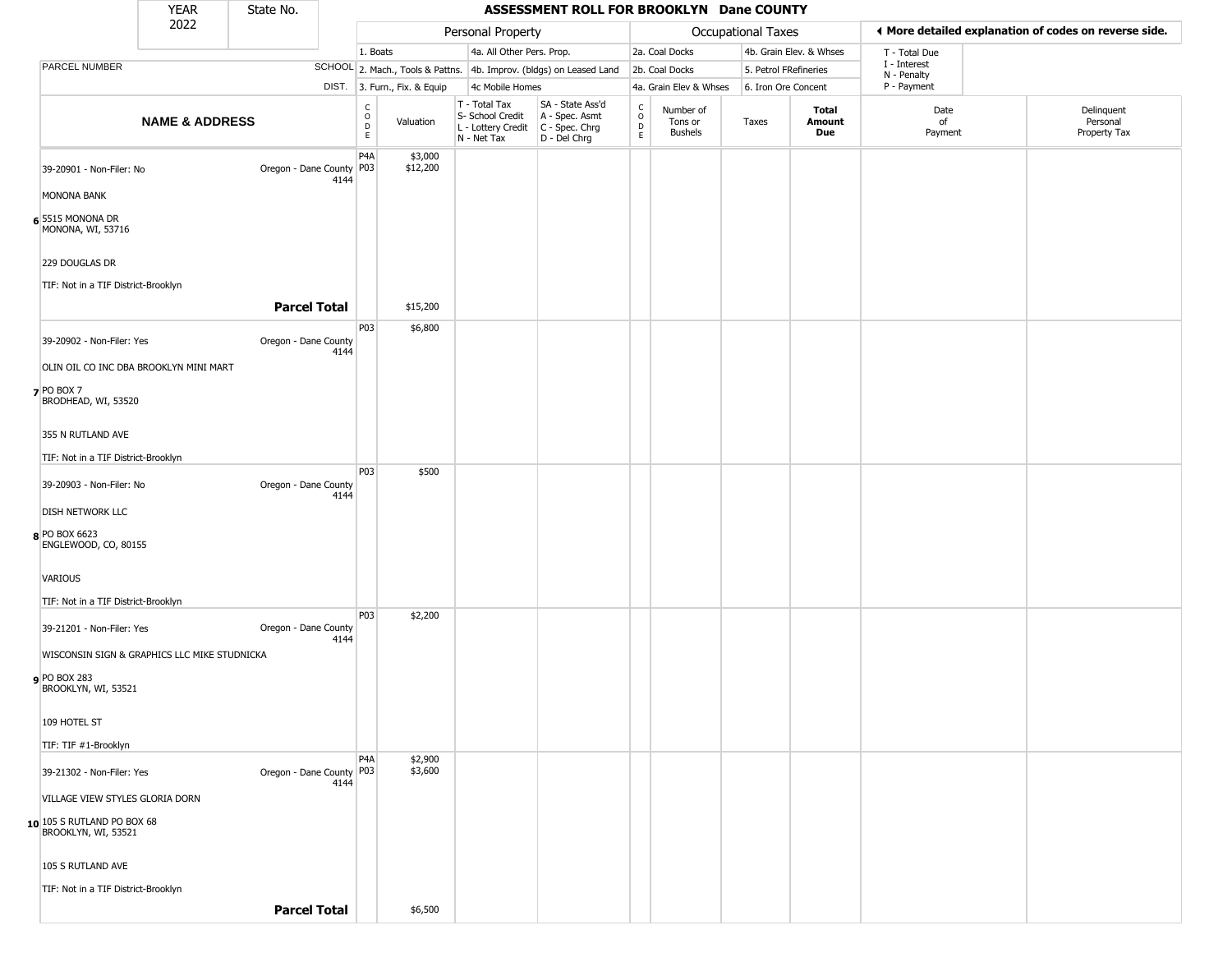|                                                     | <b>YEAR</b>               | State No.                  |      |                              |                              |                                                                        | ASSESSMENT ROLL FOR BROOKLYN Dane COUNTY                             |                                                   |                                        |                       |                         |                             |                                                       |
|-----------------------------------------------------|---------------------------|----------------------------|------|------------------------------|------------------------------|------------------------------------------------------------------------|----------------------------------------------------------------------|---------------------------------------------------|----------------------------------------|-----------------------|-------------------------|-----------------------------|-------------------------------------------------------|
|                                                     | 2022                      |                            |      |                              |                              | Personal Property                                                      |                                                                      |                                                   |                                        | Occupational Taxes    |                         |                             | ◀ More detailed explanation of codes on reverse side. |
|                                                     |                           |                            |      | 1. Boats                     |                              | 4a. All Other Pers. Prop.                                              |                                                                      |                                                   | 2a. Coal Docks                         |                       | 4b. Grain Elev. & Whses | T - Total Due               |                                                       |
| PARCEL NUMBER                                       |                           |                            |      |                              |                              |                                                                        | SCHOOL 2. Mach., Tools & Pattns. 4b. Improv. (bldgs) on Leased Land  |                                                   | 2b. Coal Docks                         | 5. Petrol FRefineries |                         | I - Interest<br>N - Penalty |                                                       |
|                                                     |                           |                            |      |                              | DIST. 3. Furn., Fix. & Equip | 4c Mobile Homes                                                        |                                                                      |                                                   | 4a. Grain Elev & Whses                 | 6. Iron Ore Concent   |                         | P - Payment                 |                                                       |
|                                                     | <b>NAME &amp; ADDRESS</b> |                            |      | C<br>$\mathsf{o}$<br>D<br>E. | Valuation                    | T - Total Tax<br>S- School Credit<br>L - Lottery Credit<br>N - Net Tax | SA - State Ass'd<br>A - Spec. Asmt<br>C - Spec. Chrg<br>D - Del Chrg | $\begin{array}{c}\nC \\ O \\ D \\ E\n\end{array}$ | Number of<br>Tons or<br><b>Bushels</b> | Taxes                 | Total<br>Amount<br>Due  | Date<br>of<br>Payment       | Delinquent<br>Personal<br>Property Tax                |
| 39-20901 - Non-Filer: No                            |                           | Oregon - Dane County   P03 | 4144 | P <sub>4</sub> A             | \$3,000<br>\$12,200          |                                                                        |                                                                      |                                                   |                                        |                       |                         |                             |                                                       |
| MONONA BANK                                         |                           |                            |      |                              |                              |                                                                        |                                                                      |                                                   |                                        |                       |                         |                             |                                                       |
| 6 5515 MONONA DR<br>MONONA, WI, 53716               |                           |                            |      |                              |                              |                                                                        |                                                                      |                                                   |                                        |                       |                         |                             |                                                       |
| 229 DOUGLAS DR                                      |                           |                            |      |                              |                              |                                                                        |                                                                      |                                                   |                                        |                       |                         |                             |                                                       |
| TIF: Not in a TIF District-Brooklyn                 |                           |                            |      |                              |                              |                                                                        |                                                                      |                                                   |                                        |                       |                         |                             |                                                       |
|                                                     |                           | <b>Parcel Total</b>        |      |                              | \$15,200                     |                                                                        |                                                                      |                                                   |                                        |                       |                         |                             |                                                       |
|                                                     |                           |                            |      | P03                          | \$6,800                      |                                                                        |                                                                      |                                                   |                                        |                       |                         |                             |                                                       |
| 39-20902 - Non-Filer: Yes                           |                           | Oregon - Dane County       | 4144 |                              |                              |                                                                        |                                                                      |                                                   |                                        |                       |                         |                             |                                                       |
| OLIN OIL CO INC DBA BROOKLYN MINI MART              |                           |                            |      |                              |                              |                                                                        |                                                                      |                                                   |                                        |                       |                         |                             |                                                       |
| $7$ PO BOX 7<br>BRODHEAD, WI, 53520                 |                           |                            |      |                              |                              |                                                                        |                                                                      |                                                   |                                        |                       |                         |                             |                                                       |
| 355 N RUTLAND AVE                                   |                           |                            |      |                              |                              |                                                                        |                                                                      |                                                   |                                        |                       |                         |                             |                                                       |
| TIF: Not in a TIF District-Brooklyn                 |                           |                            |      |                              |                              |                                                                        |                                                                      |                                                   |                                        |                       |                         |                             |                                                       |
| 39-20903 - Non-Filer: No                            |                           | Oregon - Dane County       | 4144 | P03                          | \$500                        |                                                                        |                                                                      |                                                   |                                        |                       |                         |                             |                                                       |
| <b>DISH NETWORK LLC</b>                             |                           |                            |      |                              |                              |                                                                        |                                                                      |                                                   |                                        |                       |                         |                             |                                                       |
| 8 PO BOX 6623<br>ENGLEWOOD, CO, 80155               |                           |                            |      |                              |                              |                                                                        |                                                                      |                                                   |                                        |                       |                         |                             |                                                       |
| VARIOUS                                             |                           |                            |      |                              |                              |                                                                        |                                                                      |                                                   |                                        |                       |                         |                             |                                                       |
| TIF: Not in a TIF District-Brooklyn                 |                           |                            |      |                              |                              |                                                                        |                                                                      |                                                   |                                        |                       |                         |                             |                                                       |
|                                                     |                           |                            |      | P03                          | \$2,200                      |                                                                        |                                                                      |                                                   |                                        |                       |                         |                             |                                                       |
| 39-21201 - Non-Filer: Yes                           |                           | Oregon - Dane County       | 4144 |                              |                              |                                                                        |                                                                      |                                                   |                                        |                       |                         |                             |                                                       |
| WISCONSIN SIGN & GRAPHICS LLC MIKE STUDNICKA        |                           |                            |      |                              |                              |                                                                        |                                                                      |                                                   |                                        |                       |                         |                             |                                                       |
| <b>9</b> PO BOX 283<br>BROOKLYN, WI, 53521          |                           |                            |      |                              |                              |                                                                        |                                                                      |                                                   |                                        |                       |                         |                             |                                                       |
| 109 HOTEL ST                                        |                           |                            |      |                              |                              |                                                                        |                                                                      |                                                   |                                        |                       |                         |                             |                                                       |
| TIF: TIF #1-Brooklyn                                |                           |                            |      |                              |                              |                                                                        |                                                                      |                                                   |                                        |                       |                         |                             |                                                       |
| 39-21302 - Non-Filer: Yes                           |                           | Oregon - Dane County P03   |      | P <sub>4</sub> A             | \$2,900<br>\$3,600           |                                                                        |                                                                      |                                                   |                                        |                       |                         |                             |                                                       |
| VILLAGE VIEW STYLES GLORIA DORN                     |                           |                            | 4144 |                              |                              |                                                                        |                                                                      |                                                   |                                        |                       |                         |                             |                                                       |
| $10$ 105 S RUTLAND PO BOX 68<br>BROOKLYN, WI, 53521 |                           |                            |      |                              |                              |                                                                        |                                                                      |                                                   |                                        |                       |                         |                             |                                                       |
| 105 S RUTLAND AVE                                   |                           |                            |      |                              |                              |                                                                        |                                                                      |                                                   |                                        |                       |                         |                             |                                                       |
| TIF: Not in a TIF District-Brooklyn                 |                           |                            |      |                              |                              |                                                                        |                                                                      |                                                   |                                        |                       |                         |                             |                                                       |
|                                                     |                           | <b>Parcel Total</b>        |      |                              | \$6,500                      |                                                                        |                                                                      |                                                   |                                        |                       |                         |                             |                                                       |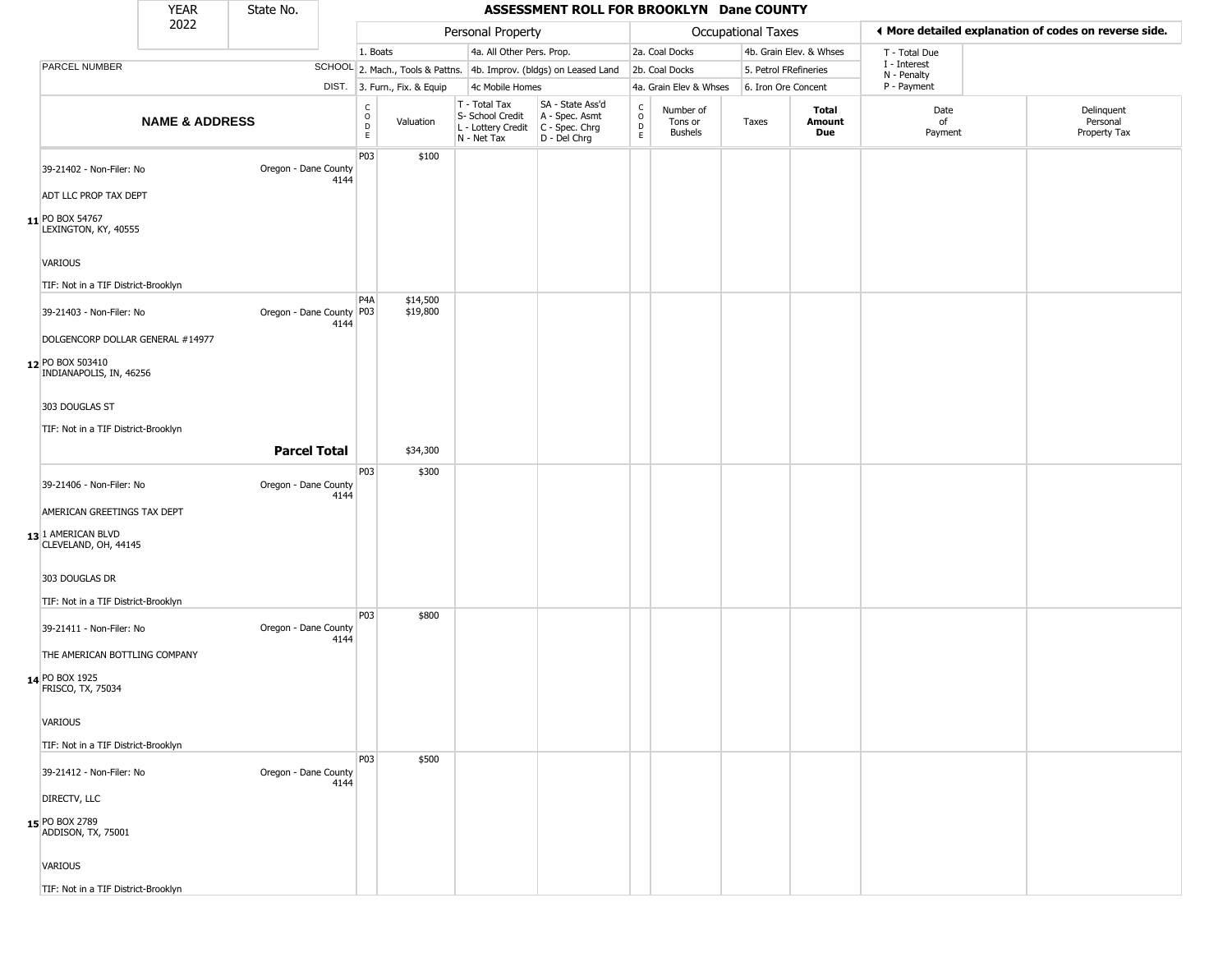|                                                                                 | <b>YEAR</b>               | State No.                |      |                                   |                              |                                                                        | ASSESSMENT ROLL FOR BROOKLYN Dane COUNTY                               |                                    |                                        |                       |                               |                             |                                                       |
|---------------------------------------------------------------------------------|---------------------------|--------------------------|------|-----------------------------------|------------------------------|------------------------------------------------------------------------|------------------------------------------------------------------------|------------------------------------|----------------------------------------|-----------------------|-------------------------------|-----------------------------|-------------------------------------------------------|
|                                                                                 | 2022                      |                          |      |                                   |                              | Personal Property                                                      |                                                                        |                                    |                                        | Occupational Taxes    |                               |                             | ◀ More detailed explanation of codes on reverse side. |
|                                                                                 |                           |                          |      | 1. Boats                          |                              | 4a. All Other Pers. Prop.                                              |                                                                        |                                    | 2a. Coal Docks                         |                       | 4b. Grain Elev. & Whses       | T - Total Due               |                                                       |
| PARCEL NUMBER                                                                   |                           |                          |      |                                   |                              |                                                                        | SCHOOL 2. Mach., Tools & Pattns. 4b. Improv. (bldgs) on Leased Land    |                                    | 2b. Coal Docks                         | 5. Petrol FRefineries |                               | I - Interest<br>N - Penalty |                                                       |
|                                                                                 |                           |                          |      |                                   | DIST. 3. Furn., Fix. & Equip | 4c Mobile Homes                                                        |                                                                        |                                    | 4a. Grain Elev & Whses                 | 6. Iron Ore Concent   |                               | P - Payment                 |                                                       |
|                                                                                 | <b>NAME &amp; ADDRESS</b> |                          |      | $\frac{C}{O}$<br>$\mathsf D$<br>E | Valuation                    | T - Total Tax<br>S- School Credit<br>L - Lottery Credit<br>N - Net Tax | SA - State Ass'd<br>A - Spec. Asmt<br>$C - Spec. Chrg$<br>D - Del Chrg | $\rm_{o}^{c}$<br>$\mathsf{D}$<br>E | Number of<br>Tons or<br><b>Bushels</b> | Taxes                 | <b>Total</b><br>Amount<br>Due | Date<br>of<br>Payment       | Delinquent<br>Personal<br>Property Tax                |
| 39-21402 - Non-Filer: No                                                        |                           | Oregon - Dane County     | 4144 | P03                               | \$100                        |                                                                        |                                                                        |                                    |                                        |                       |                               |                             |                                                       |
| ADT LLC PROP TAX DEPT                                                           |                           |                          |      |                                   |                              |                                                                        |                                                                        |                                    |                                        |                       |                               |                             |                                                       |
| 11 PO BOX 54767<br>LEXINGTON, KY, 40555                                         |                           |                          |      |                                   |                              |                                                                        |                                                                        |                                    |                                        |                       |                               |                             |                                                       |
| <b>VARIOUS</b>                                                                  |                           |                          |      |                                   |                              |                                                                        |                                                                        |                                    |                                        |                       |                               |                             |                                                       |
| TIF: Not in a TIF District-Brooklyn                                             |                           |                          |      |                                   |                              |                                                                        |                                                                        |                                    |                                        |                       |                               |                             |                                                       |
| 39-21403 - Non-Filer: No                                                        |                           | Oregon - Dane County P03 | 4144 | P <sub>4</sub> A                  | \$14,500<br>\$19,800         |                                                                        |                                                                        |                                    |                                        |                       |                               |                             |                                                       |
| DOLGENCORP DOLLAR GENERAL #14977<br>12 PO BOX 503410<br>INDIANAPOLIS, IN, 46256 |                           |                          |      |                                   |                              |                                                                        |                                                                        |                                    |                                        |                       |                               |                             |                                                       |
| 303 DOUGLAS ST                                                                  |                           |                          |      |                                   |                              |                                                                        |                                                                        |                                    |                                        |                       |                               |                             |                                                       |
| TIF: Not in a TIF District-Brooklyn                                             |                           |                          |      |                                   |                              |                                                                        |                                                                        |                                    |                                        |                       |                               |                             |                                                       |
|                                                                                 |                           | <b>Parcel Total</b>      |      |                                   | \$34,300                     |                                                                        |                                                                        |                                    |                                        |                       |                               |                             |                                                       |
| 39-21406 - Non-Filer: No                                                        |                           | Oregon - Dane County     | 4144 | P <sub>03</sub>                   | \$300                        |                                                                        |                                                                        |                                    |                                        |                       |                               |                             |                                                       |
| AMERICAN GREETINGS TAX DEPT                                                     |                           |                          |      |                                   |                              |                                                                        |                                                                        |                                    |                                        |                       |                               |                             |                                                       |
| 13 1 AMERICAN BLVD<br>CLEVELAND, OH, 44145                                      |                           |                          |      |                                   |                              |                                                                        |                                                                        |                                    |                                        |                       |                               |                             |                                                       |
| 303 DOUGLAS DR<br>TIF: Not in a TIF District-Brooklyn                           |                           |                          |      |                                   |                              |                                                                        |                                                                        |                                    |                                        |                       |                               |                             |                                                       |
| 39-21411 - Non-Filer: No                                                        |                           | Oregon - Dane County     | 4144 | P03                               | \$800                        |                                                                        |                                                                        |                                    |                                        |                       |                               |                             |                                                       |
| THE AMERICAN BOTTLING COMPANY<br>14 PO BOX 1925<br>FRISCO, TX, 75034            |                           |                          |      |                                   |                              |                                                                        |                                                                        |                                    |                                        |                       |                               |                             |                                                       |
| <b>VARIOUS</b>                                                                  |                           |                          |      |                                   |                              |                                                                        |                                                                        |                                    |                                        |                       |                               |                             |                                                       |
| TIF: Not in a TIF District-Brooklyn                                             |                           |                          |      |                                   |                              |                                                                        |                                                                        |                                    |                                        |                       |                               |                             |                                                       |
| 39-21412 - Non-Filer: No                                                        |                           | Oregon - Dane County     | 4144 | P <sub>03</sub>                   | \$500                        |                                                                        |                                                                        |                                    |                                        |                       |                               |                             |                                                       |
| DIRECTV, LLC                                                                    |                           |                          |      |                                   |                              |                                                                        |                                                                        |                                    |                                        |                       |                               |                             |                                                       |
| 15 PO BOX 2789<br>ADDISON, TX, 75001                                            |                           |                          |      |                                   |                              |                                                                        |                                                                        |                                    |                                        |                       |                               |                             |                                                       |
| <b>VARIOUS</b>                                                                  |                           |                          |      |                                   |                              |                                                                        |                                                                        |                                    |                                        |                       |                               |                             |                                                       |
| TIF: Not in a TIF District-Brooklyn                                             |                           |                          |      |                                   |                              |                                                                        |                                                                        |                                    |                                        |                       |                               |                             |                                                       |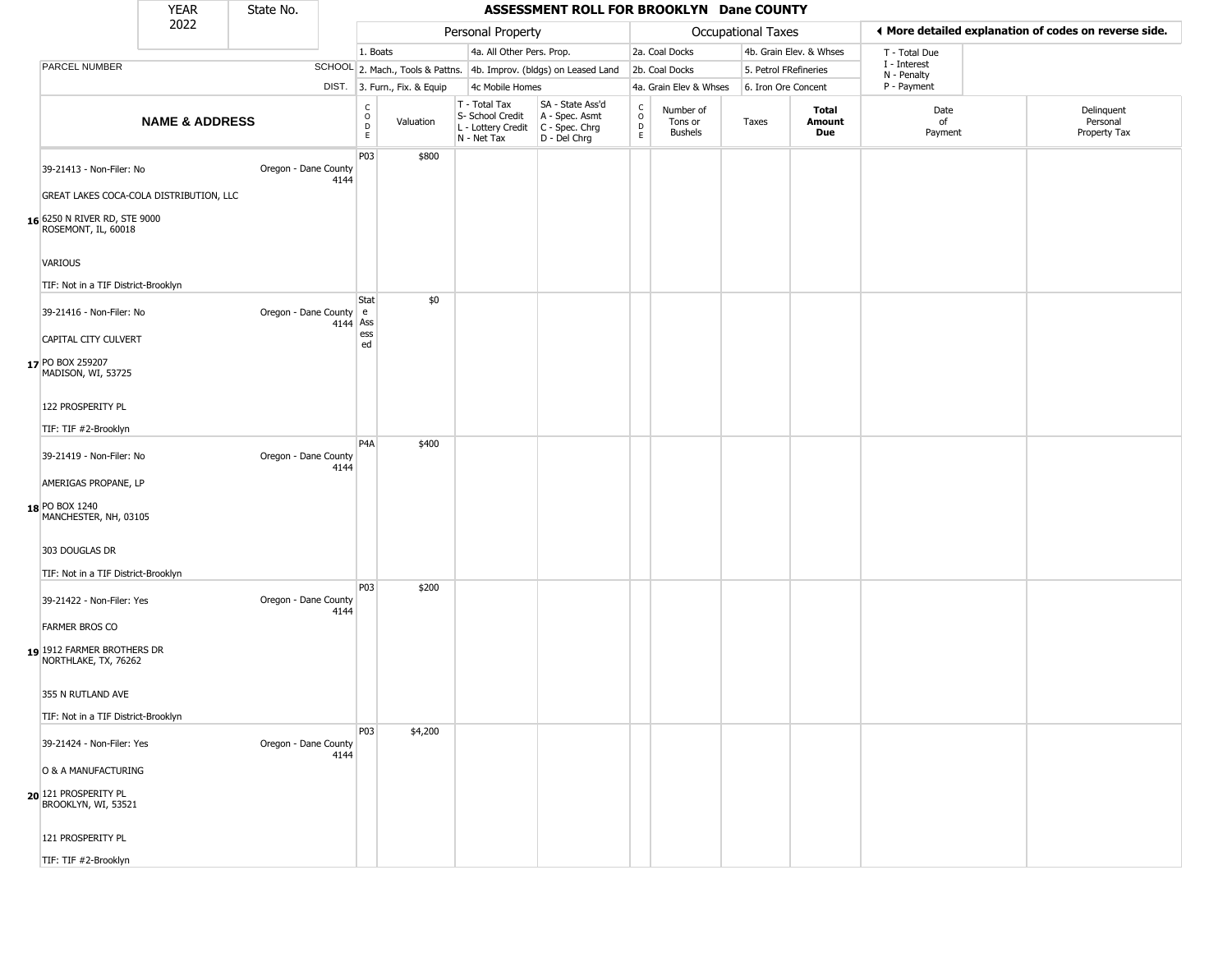|                                                                | <b>YEAR</b>                             | State No.            |          |                  |                              |                                                                        | ASSESSMENT ROLL FOR BROOKLYN Dane COUNTY                               |                                   |                                        |                       |                               |                             |                                                       |
|----------------------------------------------------------------|-----------------------------------------|----------------------|----------|------------------|------------------------------|------------------------------------------------------------------------|------------------------------------------------------------------------|-----------------------------------|----------------------------------------|-----------------------|-------------------------------|-----------------------------|-------------------------------------------------------|
|                                                                | 2022                                    |                      |          |                  |                              | Personal Property                                                      |                                                                        |                                   |                                        | Occupational Taxes    |                               |                             | ♦ More detailed explanation of codes on reverse side. |
|                                                                |                                         |                      |          | 1. Boats         |                              | 4a. All Other Pers. Prop.                                              |                                                                        |                                   | 2a. Coal Docks                         |                       | 4b. Grain Elev. & Whses       | T - Total Due               |                                                       |
| PARCEL NUMBER                                                  |                                         |                      |          |                  |                              |                                                                        | SCHOOL 2. Mach., Tools & Pattns. 4b. Improv. (bldgs) on Leased Land    |                                   | 2b. Coal Docks                         | 5. Petrol FRefineries |                               | I - Interest<br>N - Penalty |                                                       |
|                                                                |                                         |                      |          |                  | DIST. 3. Furn., Fix. & Equip | 4c Mobile Homes                                                        |                                                                        |                                   | 4a. Grain Elev & Whses                 | 6. Iron Ore Concent   |                               | P - Payment                 |                                                       |
|                                                                | <b>NAME &amp; ADDRESS</b>               |                      |          | C<br>0<br>D<br>E | Valuation                    | T - Total Tax<br>S- School Credit<br>L - Lottery Credit<br>N - Net Tax | SA - State Ass'd<br>A - Spec. Asmt<br>$C - Spec. Chrg$<br>D - Del Chrg | $\mathsf{C}$<br>$\circ$<br>D<br>E | Number of<br>Tons or<br><b>Bushels</b> | Taxes                 | <b>Total</b><br>Amount<br>Due | Date<br>of<br>Payment       | Delinquent<br>Personal<br>Property Tax                |
| 39-21413 - Non-Filer: No                                       |                                         | Oregon - Dane County | 4144     | P03              | \$800                        |                                                                        |                                                                        |                                   |                                        |                       |                               |                             |                                                       |
| 16 6250 N RIVER RD, STE 9000<br>ROSEMONT, IL, 60018            | GREAT LAKES COCA-COLA DISTRIBUTION, LLC |                      |          |                  |                              |                                                                        |                                                                        |                                   |                                        |                       |                               |                             |                                                       |
| <b>VARIOUS</b>                                                 |                                         |                      |          |                  |                              |                                                                        |                                                                        |                                   |                                        |                       |                               |                             |                                                       |
| TIF: Not in a TIF District-Brooklyn                            |                                         |                      |          |                  |                              |                                                                        |                                                                        |                                   |                                        |                       |                               |                             |                                                       |
| 39-21416 - Non-Filer: No                                       |                                         | Oregon - Dane County | 4144 Ass | Stat<br>e        | \$0                          |                                                                        |                                                                        |                                   |                                        |                       |                               |                             |                                                       |
| CAPITAL CITY CULVERT<br>17 PO BOX 259207<br>MADISON, WI, 53725 |                                         |                      |          | ess<br>ed        |                              |                                                                        |                                                                        |                                   |                                        |                       |                               |                             |                                                       |
| 122 PROSPERITY PL<br>TIF: TIF #2-Brooklyn                      |                                         |                      |          |                  |                              |                                                                        |                                                                        |                                   |                                        |                       |                               |                             |                                                       |
| 39-21419 - Non-Filer: No                                       |                                         | Oregon - Dane County | 4144     | P <sub>4</sub> A | \$400                        |                                                                        |                                                                        |                                   |                                        |                       |                               |                             |                                                       |
| AMERIGAS PROPANE, LP                                           |                                         |                      |          |                  |                              |                                                                        |                                                                        |                                   |                                        |                       |                               |                             |                                                       |
| 18 PO BOX 1240<br>MANCHESTER, NH, 03105                        |                                         |                      |          |                  |                              |                                                                        |                                                                        |                                   |                                        |                       |                               |                             |                                                       |
| 303 DOUGLAS DR                                                 |                                         |                      |          |                  |                              |                                                                        |                                                                        |                                   |                                        |                       |                               |                             |                                                       |
| TIF: Not in a TIF District-Brooklyn                            |                                         |                      |          | P03              | \$200                        |                                                                        |                                                                        |                                   |                                        |                       |                               |                             |                                                       |
| 39-21422 - Non-Filer: Yes                                      |                                         | Oregon - Dane County | 4144     |                  |                              |                                                                        |                                                                        |                                   |                                        |                       |                               |                             |                                                       |
| <b>FARMER BROS CO</b>                                          |                                         |                      |          |                  |                              |                                                                        |                                                                        |                                   |                                        |                       |                               |                             |                                                       |
| 1912 FARMER BROTHERS DR<br>NORTHLAKE, TX, 76262                |                                         |                      |          |                  |                              |                                                                        |                                                                        |                                   |                                        |                       |                               |                             |                                                       |
| 355 N RUTLAND AVE                                              |                                         |                      |          |                  |                              |                                                                        |                                                                        |                                   |                                        |                       |                               |                             |                                                       |
| TIF: Not in a TIF District-Brooklyn                            |                                         |                      |          |                  |                              |                                                                        |                                                                        |                                   |                                        |                       |                               |                             |                                                       |
| 39-21424 - Non-Filer: Yes                                      |                                         | Oregon - Dane County | 4144     | P03              | \$4,200                      |                                                                        |                                                                        |                                   |                                        |                       |                               |                             |                                                       |
| O & A MANUFACTURING                                            |                                         |                      |          |                  |                              |                                                                        |                                                                        |                                   |                                        |                       |                               |                             |                                                       |
| 20 121 PROSPERITY PL<br>BROOKLYN, WI, 53521                    |                                         |                      |          |                  |                              |                                                                        |                                                                        |                                   |                                        |                       |                               |                             |                                                       |
| 121 PROSPERITY PL                                              |                                         |                      |          |                  |                              |                                                                        |                                                                        |                                   |                                        |                       |                               |                             |                                                       |
| TIF: TIF #2-Brooklyn                                           |                                         |                      |          |                  |                              |                                                                        |                                                                        |                                   |                                        |                       |                               |                             |                                                       |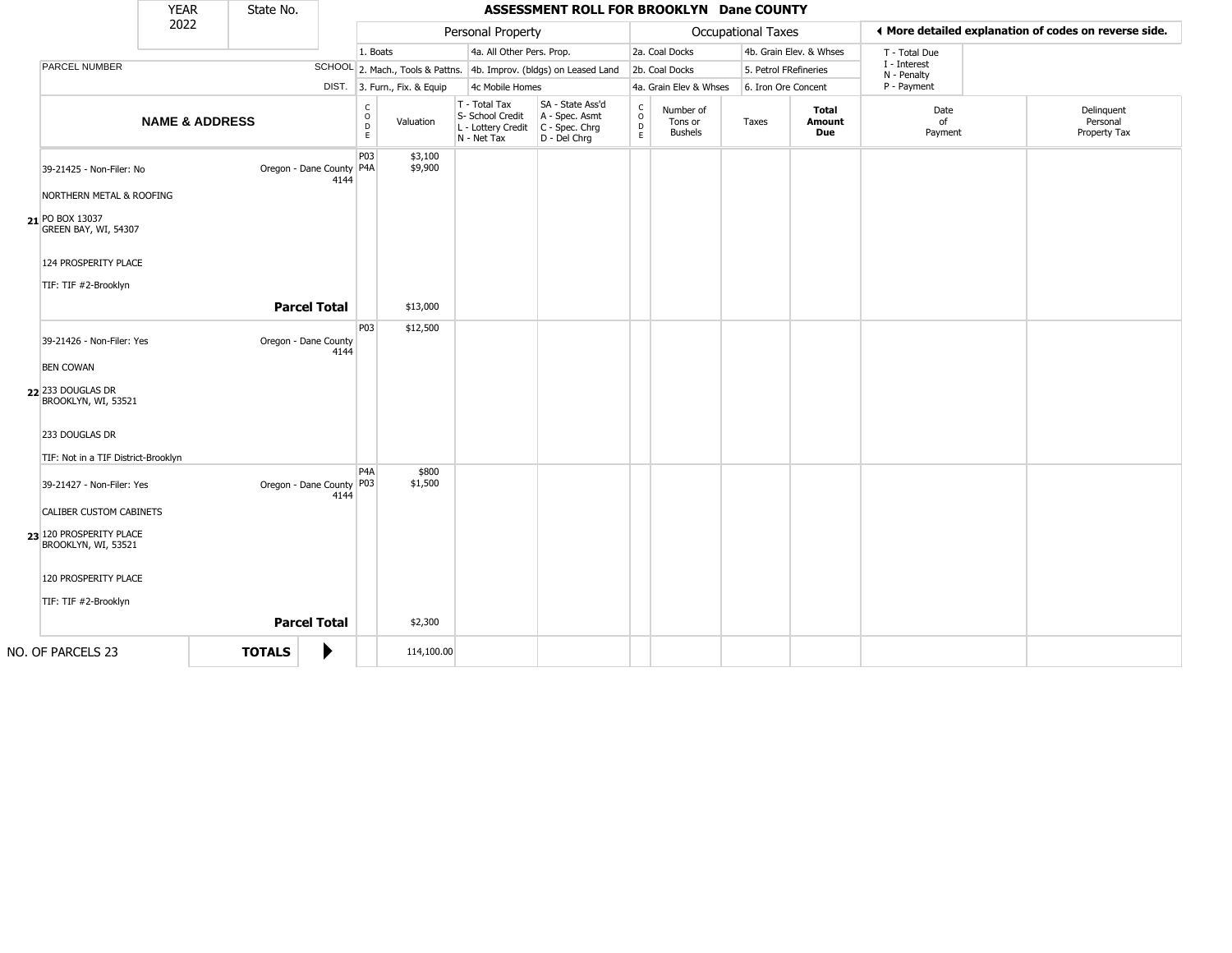|                                                                                                                                                        | <b>YEAR</b>               | State No.     |                                                         |                              |                              |                                                                        | ASSESSMENT ROLL FOR BROOKLYN Dane COUNTY                               |                                   |                                        |                       |                               |                             |                                                       |
|--------------------------------------------------------------------------------------------------------------------------------------------------------|---------------------------|---------------|---------------------------------------------------------|------------------------------|------------------------------|------------------------------------------------------------------------|------------------------------------------------------------------------|-----------------------------------|----------------------------------------|-----------------------|-------------------------------|-----------------------------|-------------------------------------------------------|
|                                                                                                                                                        | 2022                      |               |                                                         |                              |                              | Personal Property                                                      |                                                                        |                                   |                                        | Occupational Taxes    |                               |                             | ♦ More detailed explanation of codes on reverse side. |
|                                                                                                                                                        |                           |               |                                                         | 1. Boats                     |                              | 4a. All Other Pers. Prop.                                              |                                                                        |                                   | 2a. Coal Docks                         |                       | 4b. Grain Elev. & Whses       | T - Total Due               |                                                       |
| PARCEL NUMBER                                                                                                                                          |                           |               |                                                         |                              |                              |                                                                        | SCHOOL 2. Mach., Tools & Pattns. 4b. Improv. (bldgs) on Leased Land    |                                   | 2b. Coal Docks                         | 5. Petrol FRefineries |                               | I - Interest<br>N - Penalty |                                                       |
|                                                                                                                                                        |                           |               |                                                         |                              | DIST. 3. Furn., Fix. & Equip | 4c Mobile Homes                                                        |                                                                        |                                   | 4a. Grain Elev & Whses                 | 6. Iron Ore Concent   |                               | P - Payment                 |                                                       |
|                                                                                                                                                        | <b>NAME &amp; ADDRESS</b> |               |                                                         | $_{\rm o}^{\rm c}$<br>D<br>E | Valuation                    | T - Total Tax<br>S- School Credit<br>L - Lottery Credit<br>N - Net Tax | SA - State Ass'd<br>A - Spec. Asmt<br>$C - Spec. Chrg$<br>D - Del Chrg | $\frac{c}{0}$<br>$\mathsf D$<br>E | Number of<br>Tons or<br><b>Bushels</b> | Taxes                 | <b>Total</b><br>Amount<br>Due | Date<br>of<br>Payment       | Delinquent<br>Personal<br>Property Tax                |
| 39-21425 - Non-Filer: No<br>NORTHERN METAL & ROOFING<br>21 PO BOX 13037<br>GREEN BAY, WI, 54307<br>124 PROSPERITY PLACE<br>TIF: TIF #2-Brooklyn        |                           |               | Oregon - Dane County P4A<br>4144                        | P03                          | \$3,100<br>\$9,900           |                                                                        |                                                                        |                                   |                                        |                       |                               |                             |                                                       |
|                                                                                                                                                        |                           |               | <b>Parcel Total</b>                                     |                              | \$13,000                     |                                                                        |                                                                        |                                   |                                        |                       |                               |                             |                                                       |
| 39-21426 - Non-Filer: Yes<br><b>BEN COWAN</b><br>22 233 DOUGLAS DR<br>BROOKLYN, WI, 53521<br>233 DOUGLAS DR<br>TIF: Not in a TIF District-Brooklyn     |                           |               | Oregon - Dane County<br>4144                            | P03                          | \$12,500                     |                                                                        |                                                                        |                                   |                                        |                       |                               |                             |                                                       |
| 39-21427 - Non-Filer: Yes<br>CALIBER CUSTOM CABINETS<br>23 120 PROSPERITY PLACE<br>BROOKLYN, WI, 53521<br>120 PROSPERITY PLACE<br>TIF: TIF #2-Brooklyn |                           |               | Oregon - Dane County P03<br>4144<br><b>Parcel Total</b> | P <sub>4</sub> A             | \$800<br>\$1,500<br>\$2,300  |                                                                        |                                                                        |                                   |                                        |                       |                               |                             |                                                       |
| NO. OF PARCELS 23                                                                                                                                      |                           | <b>TOTALS</b> | ▶                                                       |                              | 114,100.00                   |                                                                        |                                                                        |                                   |                                        |                       |                               |                             |                                                       |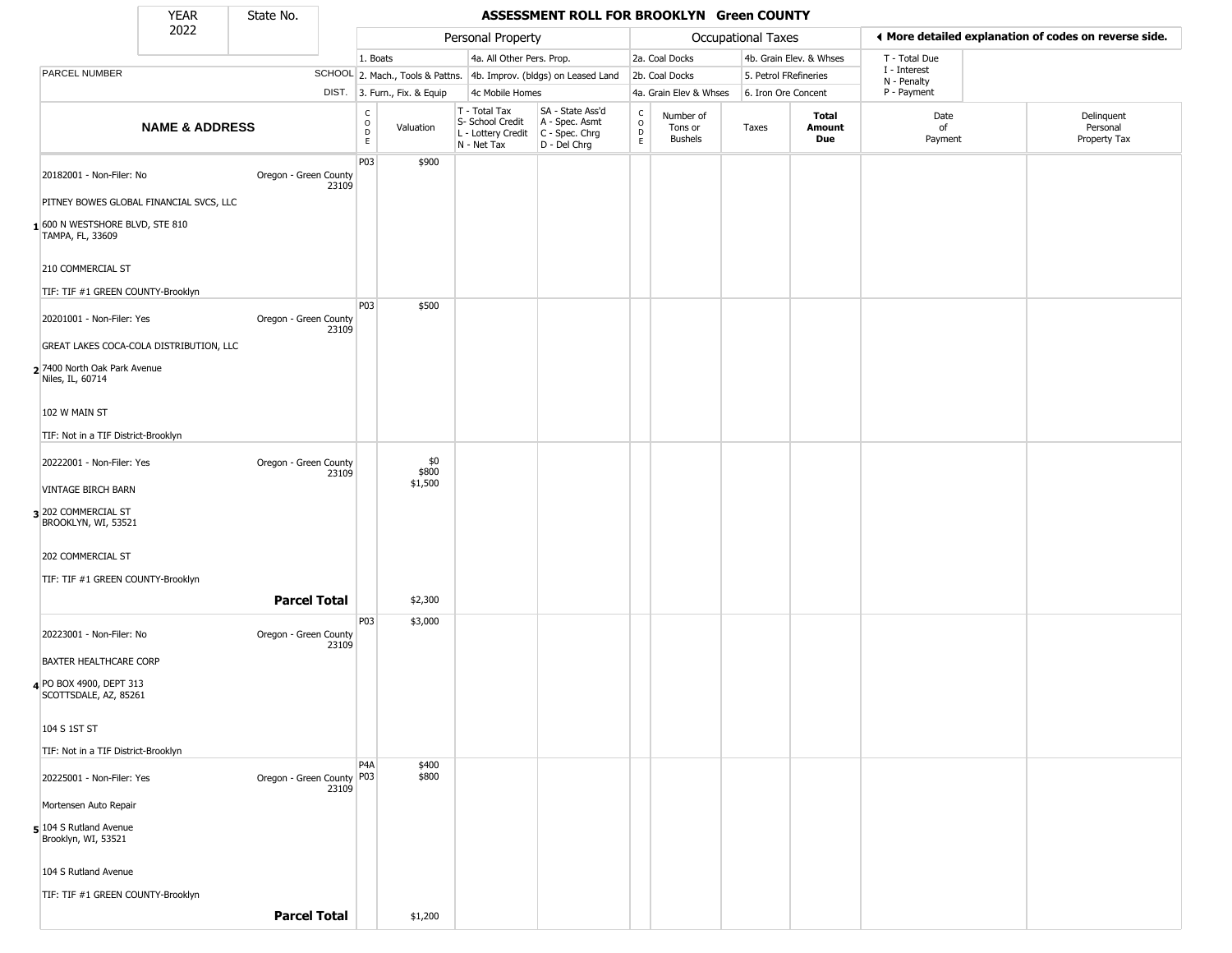State No.

## YEAR State No. **ASSESSMENT ROLL FOR BROOKLYN Green COUNTY**

|                                                    | 2022                                    |                                    |                                                      |                                  | Personal Property                                                      |                                                                      |                               |                                        | <b>Occupational Taxes</b> |                         | I More detailed explanation of codes on reverse side. |                                        |
|----------------------------------------------------|-----------------------------------------|------------------------------------|------------------------------------------------------|----------------------------------|------------------------------------------------------------------------|----------------------------------------------------------------------|-------------------------------|----------------------------------------|---------------------------|-------------------------|-------------------------------------------------------|----------------------------------------|
|                                                    |                                         |                                    | 1. Boats                                             |                                  | 4a. All Other Pers. Prop.                                              |                                                                      |                               | 2a. Coal Docks                         |                           | 4b. Grain Elev. & Whses | T - Total Due                                         |                                        |
| PARCEL NUMBER                                      |                                         |                                    |                                                      | SCHOOL 2. Mach., Tools & Pattns. |                                                                        | 4b. Improv. (bldgs) on Leased Land                                   |                               | 2b. Coal Docks                         | 5. Petrol FRefineries     |                         | I - Interest<br>N - Penalty                           |                                        |
|                                                    |                                         |                                    |                                                      | DIST. 3. Furn., Fix. & Equip     | 4c Mobile Homes                                                        |                                                                      |                               | 4a. Grain Elev & Whses                 | 6. Iron Ore Concent       |                         | P - Payment                                           |                                        |
|                                                    | <b>NAME &amp; ADDRESS</b>               |                                    | $\mathsf{C}$<br>$\circ$<br>$\mathsf{D}_{\mathsf{E}}$ | Valuation                        | T - Total Tax<br>S- School Credit<br>L - Lottery Credit<br>N - Net Tax | SA - State Ass'd<br>A - Spec. Asmt<br>C - Spec. Chrg<br>D - Del Chrg | C<br>$\circ$<br>$\frac{D}{E}$ | Number of<br>Tons or<br><b>Bushels</b> | Taxes                     | Total<br>Amount<br>Due  | Date<br>of<br>Payment                                 | Delinquent<br>Personal<br>Property Tax |
| 20182001 - Non-Filer: No                           |                                         | Oregon - Green County<br>23109     | P03                                                  | \$900                            |                                                                        |                                                                      |                               |                                        |                           |                         |                                                       |                                        |
|                                                    | PITNEY BOWES GLOBAL FINANCIAL SVCS, LLC |                                    |                                                      |                                  |                                                                        |                                                                      |                               |                                        |                           |                         |                                                       |                                        |
| 1600 N WESTSHORE BLVD, STE 810<br>TAMPA, FL, 33609 |                                         |                                    |                                                      |                                  |                                                                        |                                                                      |                               |                                        |                           |                         |                                                       |                                        |
| 210 COMMERCIAL ST                                  |                                         |                                    |                                                      |                                  |                                                                        |                                                                      |                               |                                        |                           |                         |                                                       |                                        |
| TIF: TIF #1 GREEN COUNTY-Brooklyn                  |                                         |                                    | P03                                                  | \$500                            |                                                                        |                                                                      |                               |                                        |                           |                         |                                                       |                                        |
| 20201001 - Non-Filer: Yes                          |                                         | Oregon - Green County<br>23109     |                                                      |                                  |                                                                        |                                                                      |                               |                                        |                           |                         |                                                       |                                        |
|                                                    | GREAT LAKES COCA-COLA DISTRIBUTION, LLC |                                    |                                                      |                                  |                                                                        |                                                                      |                               |                                        |                           |                         |                                                       |                                        |
| 2 7400 North Oak Park Avenue<br>Niles, IL, 60714   |                                         |                                    |                                                      |                                  |                                                                        |                                                                      |                               |                                        |                           |                         |                                                       |                                        |
| 102 W MAIN ST                                      |                                         |                                    |                                                      |                                  |                                                                        |                                                                      |                               |                                        |                           |                         |                                                       |                                        |
| TIF: Not in a TIF District-Brooklyn                |                                         |                                    |                                                      |                                  |                                                                        |                                                                      |                               |                                        |                           |                         |                                                       |                                        |
| 20222001 - Non-Filer: Yes                          |                                         | Oregon - Green County<br>23109     |                                                      | \$0<br>\$800                     |                                                                        |                                                                      |                               |                                        |                           |                         |                                                       |                                        |
| <b>VINTAGE BIRCH BARN</b>                          |                                         |                                    |                                                      | \$1,500                          |                                                                        |                                                                      |                               |                                        |                           |                         |                                                       |                                        |
| 3 202 COMMERCIAL ST<br>BROOKLYN, WI, 53521         |                                         |                                    |                                                      |                                  |                                                                        |                                                                      |                               |                                        |                           |                         |                                                       |                                        |
| 202 COMMERCIAL ST                                  |                                         |                                    |                                                      |                                  |                                                                        |                                                                      |                               |                                        |                           |                         |                                                       |                                        |
| TIF: TIF #1 GREEN COUNTY-Brooklyn                  |                                         |                                    |                                                      |                                  |                                                                        |                                                                      |                               |                                        |                           |                         |                                                       |                                        |
|                                                    |                                         | <b>Parcel Total</b>                |                                                      | \$2,300                          |                                                                        |                                                                      |                               |                                        |                           |                         |                                                       |                                        |
| 20223001 - Non-Filer: No                           |                                         | Oregon - Green County<br>23109     | P03                                                  | \$3,000                          |                                                                        |                                                                      |                               |                                        |                           |                         |                                                       |                                        |
| BAXTER HEALTHCARE CORP                             |                                         |                                    |                                                      |                                  |                                                                        |                                                                      |                               |                                        |                           |                         |                                                       |                                        |
| 4 PO BOX 4900, DEPT 313<br>SCOTTSDALE, AZ, 85261   |                                         |                                    |                                                      |                                  |                                                                        |                                                                      |                               |                                        |                           |                         |                                                       |                                        |
| 104 S 1ST ST                                       |                                         |                                    |                                                      |                                  |                                                                        |                                                                      |                               |                                        |                           |                         |                                                       |                                        |
| TIF: Not in a TIF District-Brooklyn                |                                         |                                    | P4A                                                  |                                  |                                                                        |                                                                      |                               |                                        |                           |                         |                                                       |                                        |
| 20225001 - Non-Filer: Yes                          |                                         | Oregon - Green County P03<br>23109 |                                                      | \$400<br>\$800                   |                                                                        |                                                                      |                               |                                        |                           |                         |                                                       |                                        |
| Mortensen Auto Repair                              |                                         |                                    |                                                      |                                  |                                                                        |                                                                      |                               |                                        |                           |                         |                                                       |                                        |
| 5 104 S Rutland Avenue<br>Brooklyn, WI, 53521      |                                         |                                    |                                                      |                                  |                                                                        |                                                                      |                               |                                        |                           |                         |                                                       |                                        |
| 104 S Rutland Avenue                               |                                         |                                    |                                                      |                                  |                                                                        |                                                                      |                               |                                        |                           |                         |                                                       |                                        |
| TIF: TIF #1 GREEN COUNTY-Brooklyn                  |                                         |                                    |                                                      |                                  |                                                                        |                                                                      |                               |                                        |                           |                         |                                                       |                                        |
|                                                    |                                         | <b>Parcel Total</b>                |                                                      | \$1,200                          |                                                                        |                                                                      |                               |                                        |                           |                         |                                                       |                                        |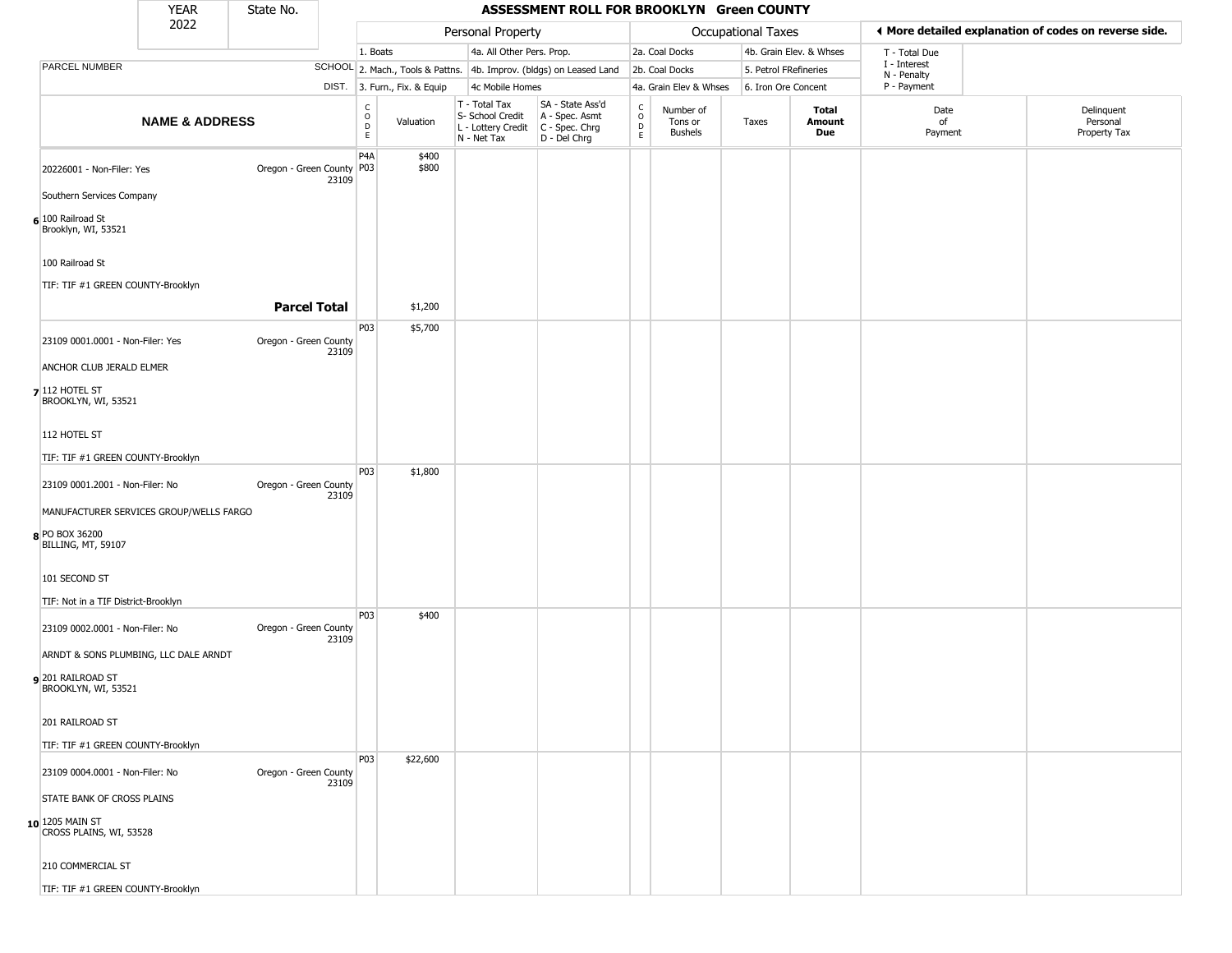|                                                      | <b>YEAR</b>                             | State No.                 |       |                                                       |                              |                                                                        | ASSESSMENT ROLL FOR BROOKLYN Green COUNTY                            |                                          |                                        |                       |                         |                             |                                                       |
|------------------------------------------------------|-----------------------------------------|---------------------------|-------|-------------------------------------------------------|------------------------------|------------------------------------------------------------------------|----------------------------------------------------------------------|------------------------------------------|----------------------------------------|-----------------------|-------------------------|-----------------------------|-------------------------------------------------------|
|                                                      | 2022                                    |                           |       |                                                       |                              | Personal Property                                                      |                                                                      |                                          |                                        | Occupational Taxes    |                         |                             | ♦ More detailed explanation of codes on reverse side. |
|                                                      |                                         |                           |       | 1. Boats                                              |                              | 4a. All Other Pers. Prop.                                              |                                                                      |                                          | 2a. Coal Docks                         |                       | 4b. Grain Elev. & Whses | T - Total Due               |                                                       |
| PARCEL NUMBER                                        |                                         |                           |       |                                                       |                              |                                                                        | SCHOOL 2. Mach., Tools & Pattns. 4b. Improv. (bldgs) on Leased Land  |                                          | 2b. Coal Docks                         | 5. Petrol FRefineries |                         | I - Interest<br>N - Penalty |                                                       |
|                                                      |                                         |                           |       |                                                       | DIST. 3. Furn., Fix. & Equip | 4c Mobile Homes                                                        |                                                                      |                                          | 4a. Grain Elev & Whses                 | 6. Iron Ore Concent   |                         | P - Payment                 |                                                       |
|                                                      | <b>NAME &amp; ADDRESS</b>               |                           |       | $\mathsf{C}$<br>$\circ$<br>$\mathsf D$<br>$\mathsf E$ | Valuation                    | T - Total Tax<br>S- School Credit<br>L - Lottery Credit<br>N - Net Tax | SA - State Ass'd<br>A - Spec. Asmt<br>C - Spec. Chrg<br>D - Del Chrg | $\rm _o^C$<br>$\mathsf D$<br>$\mathsf E$ | Number of<br>Tons or<br><b>Bushels</b> | Taxes                 | Total<br>Amount<br>Due  | Date<br>of<br>Payment       | Delinquent<br>Personal<br>Property Tax                |
| 20226001 - Non-Filer: Yes                            |                                         | Oregon - Green County P03 | 23109 | P4A                                                   | \$400<br>\$800               |                                                                        |                                                                      |                                          |                                        |                       |                         |                             |                                                       |
| Southern Services Company                            |                                         |                           |       |                                                       |                              |                                                                        |                                                                      |                                          |                                        |                       |                         |                             |                                                       |
| 6 100 Railroad St<br>Brooklyn, WI, 53521             |                                         |                           |       |                                                       |                              |                                                                        |                                                                      |                                          |                                        |                       |                         |                             |                                                       |
| 100 Railroad St                                      |                                         |                           |       |                                                       |                              |                                                                        |                                                                      |                                          |                                        |                       |                         |                             |                                                       |
| TIF: TIF #1 GREEN COUNTY-Brooklyn                    |                                         |                           |       |                                                       |                              |                                                                        |                                                                      |                                          |                                        |                       |                         |                             |                                                       |
|                                                      |                                         | <b>Parcel Total</b>       |       |                                                       | \$1,200                      |                                                                        |                                                                      |                                          |                                        |                       |                         |                             |                                                       |
|                                                      |                                         |                           |       | P <sub>0</sub> 3                                      | \$5,700                      |                                                                        |                                                                      |                                          |                                        |                       |                         |                             |                                                       |
| 23109 0001.0001 - Non-Filer: Yes                     |                                         | Oregon - Green County     | 23109 |                                                       |                              |                                                                        |                                                                      |                                          |                                        |                       |                         |                             |                                                       |
| ANCHOR CLUB JERALD ELMER                             |                                         |                           |       |                                                       |                              |                                                                        |                                                                      |                                          |                                        |                       |                         |                             |                                                       |
| $7$ 112 HOTEL ST<br>BROOKLYN, WI, 53521              |                                         |                           |       |                                                       |                              |                                                                        |                                                                      |                                          |                                        |                       |                         |                             |                                                       |
| 112 HOTEL ST                                         |                                         |                           |       |                                                       |                              |                                                                        |                                                                      |                                          |                                        |                       |                         |                             |                                                       |
| TIF: TIF #1 GREEN COUNTY-Brooklyn                    |                                         |                           |       |                                                       |                              |                                                                        |                                                                      |                                          |                                        |                       |                         |                             |                                                       |
| 23109 0001.2001 - Non-Filer: No                      |                                         | Oregon - Green County     | 23109 | P03                                                   | \$1,800                      |                                                                        |                                                                      |                                          |                                        |                       |                         |                             |                                                       |
|                                                      | MANUFACTURER SERVICES GROUP/WELLS FARGO |                           |       |                                                       |                              |                                                                        |                                                                      |                                          |                                        |                       |                         |                             |                                                       |
| 8 PO BOX 36200<br>BILLING, MT, 59107                 |                                         |                           |       |                                                       |                              |                                                                        |                                                                      |                                          |                                        |                       |                         |                             |                                                       |
| 101 SECOND ST<br>TIF: Not in a TIF District-Brooklyn |                                         |                           |       |                                                       |                              |                                                                        |                                                                      |                                          |                                        |                       |                         |                             |                                                       |
|                                                      |                                         |                           |       | P03                                                   | \$400                        |                                                                        |                                                                      |                                          |                                        |                       |                         |                             |                                                       |
| 23109 0002.0001 - Non-Filer: No                      |                                         | Oregon - Green County     | 23109 |                                                       |                              |                                                                        |                                                                      |                                          |                                        |                       |                         |                             |                                                       |
|                                                      | ARNDT & SONS PLUMBING, LLC DALE ARNDT   |                           |       |                                                       |                              |                                                                        |                                                                      |                                          |                                        |                       |                         |                             |                                                       |
| 201 RAILROAD ST<br>BROOKLYN, WI, 53521               |                                         |                           |       |                                                       |                              |                                                                        |                                                                      |                                          |                                        |                       |                         |                             |                                                       |
| 201 RAILROAD ST                                      |                                         |                           |       |                                                       |                              |                                                                        |                                                                      |                                          |                                        |                       |                         |                             |                                                       |
| TIF: TIF #1 GREEN COUNTY-Brooklyn                    |                                         |                           |       |                                                       |                              |                                                                        |                                                                      |                                          |                                        |                       |                         |                             |                                                       |
| 23109 0004.0001 - Non-Filer: No                      |                                         | Oregon - Green County     | 23109 | P03                                                   | \$22,600                     |                                                                        |                                                                      |                                          |                                        |                       |                         |                             |                                                       |
| STATE BANK OF CROSS PLAINS                           |                                         |                           |       |                                                       |                              |                                                                        |                                                                      |                                          |                                        |                       |                         |                             |                                                       |
| 10 1205 MAIN ST<br>CROSS PLAINS, WI, 53528           |                                         |                           |       |                                                       |                              |                                                                        |                                                                      |                                          |                                        |                       |                         |                             |                                                       |
| 210 COMMERCIAL ST                                    |                                         |                           |       |                                                       |                              |                                                                        |                                                                      |                                          |                                        |                       |                         |                             |                                                       |
| TIF: TIF #1 GREEN COUNTY-Brooklyn                    |                                         |                           |       |                                                       |                              |                                                                        |                                                                      |                                          |                                        |                       |                         |                             |                                                       |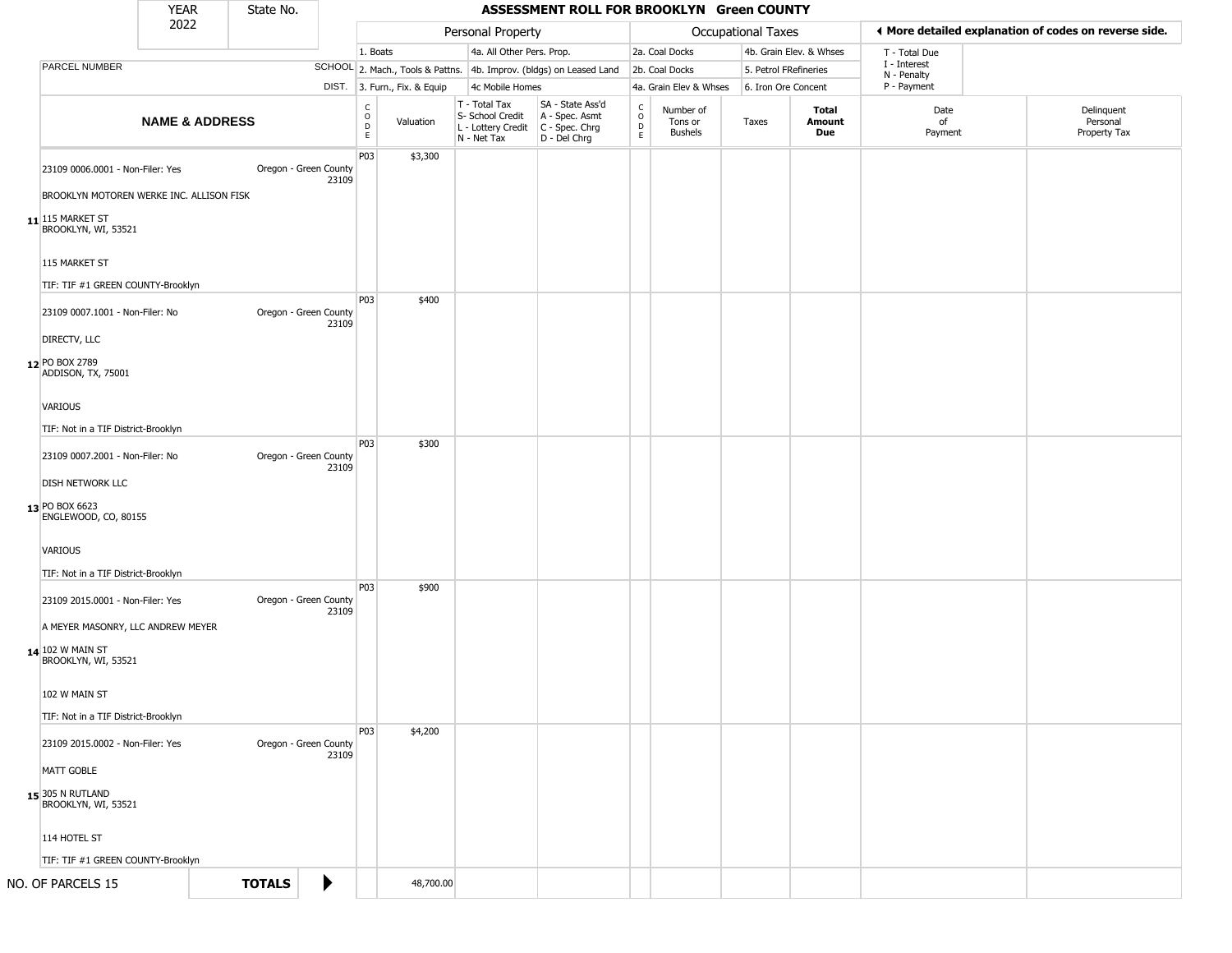|                                                                              | <b>YEAR</b>               | State No.     |                                |                        |                              |                                                                        | ASSESSMENT ROLL FOR BROOKLYN Green COUNTY                            |                        |                                 |                       |                               |                             |                                                       |
|------------------------------------------------------------------------------|---------------------------|---------------|--------------------------------|------------------------|------------------------------|------------------------------------------------------------------------|----------------------------------------------------------------------|------------------------|---------------------------------|-----------------------|-------------------------------|-----------------------------|-------------------------------------------------------|
|                                                                              | 2022                      |               |                                |                        |                              | Personal Property                                                      |                                                                      |                        |                                 | Occupational Taxes    |                               |                             | ♦ More detailed explanation of codes on reverse side. |
|                                                                              |                           |               |                                | 1. Boats               |                              | 4a. All Other Pers. Prop.                                              |                                                                      |                        | 2a. Coal Docks                  |                       | 4b. Grain Elev. & Whses       | T - Total Due               |                                                       |
| PARCEL NUMBER                                                                |                           |               |                                |                        |                              |                                                                        | SCHOOL 2. Mach., Tools & Pattns. 4b. Improv. (bldgs) on Leased Land  |                        | 2b. Coal Docks                  | 5. Petrol FRefineries |                               | I - Interest<br>N - Penalty |                                                       |
|                                                                              |                           |               |                                |                        | DIST. 3. Furn., Fix. & Equip | 4c Mobile Homes                                                        |                                                                      |                        | 4a. Grain Elev & Whses          | 6. Iron Ore Concent   |                               | P - Payment                 |                                                       |
|                                                                              | <b>NAME &amp; ADDRESS</b> |               |                                | C<br>$\circ$<br>D<br>E | Valuation                    | T - Total Tax<br>S- School Credit<br>L - Lottery Credit<br>N - Net Tax | SA - State Ass'd<br>A - Spec. Asmt<br>C - Spec. Chrg<br>D - Del Chrg | $\rm ^c_{o}$<br>D<br>E | Number of<br>Tons or<br>Bushels | Taxes                 | <b>Total</b><br>Amount<br>Due | Date<br>of<br>Payment       | Delinquent<br>Personal<br>Property Tax                |
| 23109 0006.0001 - Non-Filer: Yes<br>BROOKLYN MOTOREN WERKE INC. ALLISON FISK |                           |               | Oregon - Green County<br>23109 | P03                    | \$3,300                      |                                                                        |                                                                      |                        |                                 |                       |                               |                             |                                                       |
| $11$ <sup>115</sup> MARKET ST<br>BROOKLYN, WI, 53521                         |                           |               |                                |                        |                              |                                                                        |                                                                      |                        |                                 |                       |                               |                             |                                                       |
| 115 MARKET ST                                                                |                           |               |                                |                        |                              |                                                                        |                                                                      |                        |                                 |                       |                               |                             |                                                       |
| TIF: TIF #1 GREEN COUNTY-Brooklyn                                            |                           |               |                                |                        |                              |                                                                        |                                                                      |                        |                                 |                       |                               |                             |                                                       |
| 23109 0007.1001 - Non-Filer: No<br>DIRECTV, LLC                              |                           |               | Oregon - Green County<br>23109 | P03                    | \$400                        |                                                                        |                                                                      |                        |                                 |                       |                               |                             |                                                       |
| 12 PO BOX 2789<br>ADDISON, TX, 75001                                         |                           |               |                                |                        |                              |                                                                        |                                                                      |                        |                                 |                       |                               |                             |                                                       |
| VARIOUS                                                                      |                           |               |                                |                        |                              |                                                                        |                                                                      |                        |                                 |                       |                               |                             |                                                       |
| TIF: Not in a TIF District-Brooklyn                                          |                           |               |                                |                        |                              |                                                                        |                                                                      |                        |                                 |                       |                               |                             |                                                       |
| 23109 0007.2001 - Non-Filer: No                                              |                           |               | Oregon - Green County<br>23109 | P03                    | \$300                        |                                                                        |                                                                      |                        |                                 |                       |                               |                             |                                                       |
| DISH NETWORK LLC<br>13 PO BOX 6623<br>ENGLEWOOD, CO, 80155                   |                           |               |                                |                        |                              |                                                                        |                                                                      |                        |                                 |                       |                               |                             |                                                       |
| VARIOUS                                                                      |                           |               |                                |                        |                              |                                                                        |                                                                      |                        |                                 |                       |                               |                             |                                                       |
| TIF: Not in a TIF District-Brooklyn                                          |                           |               |                                | P03                    | \$900                        |                                                                        |                                                                      |                        |                                 |                       |                               |                             |                                                       |
| 23109 2015.0001 - Non-Filer: Yes<br>A MEYER MASONRY, LLC ANDREW MEYER        |                           |               | Oregon - Green County<br>23109 |                        |                              |                                                                        |                                                                      |                        |                                 |                       |                               |                             |                                                       |
| 14 102 W MAIN ST<br>BROOKLYN, WI, 53521                                      |                           |               |                                |                        |                              |                                                                        |                                                                      |                        |                                 |                       |                               |                             |                                                       |
| 102 W MAIN ST                                                                |                           |               |                                |                        |                              |                                                                        |                                                                      |                        |                                 |                       |                               |                             |                                                       |
| TIF: Not in a TIF District-Brooklyn                                          |                           |               |                                | P03                    | \$4,200                      |                                                                        |                                                                      |                        |                                 |                       |                               |                             |                                                       |
| 23109 2015.0002 - Non-Filer: Yes                                             |                           |               | Oregon - Green County<br>23109 |                        |                              |                                                                        |                                                                      |                        |                                 |                       |                               |                             |                                                       |
| MATT GOBLE<br>15 305 N RUTLAND                                               |                           |               |                                |                        |                              |                                                                        |                                                                      |                        |                                 |                       |                               |                             |                                                       |
| BROOKLYN, WI, 53521                                                          |                           |               |                                |                        |                              |                                                                        |                                                                      |                        |                                 |                       |                               |                             |                                                       |
| 114 HOTEL ST                                                                 |                           |               |                                |                        |                              |                                                                        |                                                                      |                        |                                 |                       |                               |                             |                                                       |
| TIF: TIF #1 GREEN COUNTY-Brooklyn                                            |                           |               |                                |                        |                              |                                                                        |                                                                      |                        |                                 |                       |                               |                             |                                                       |
| NO. OF PARCELS 15                                                            |                           | <b>TOTALS</b> | $\blacktriangleright$          |                        | 48,700.00                    |                                                                        |                                                                      |                        |                                 |                       |                               |                             |                                                       |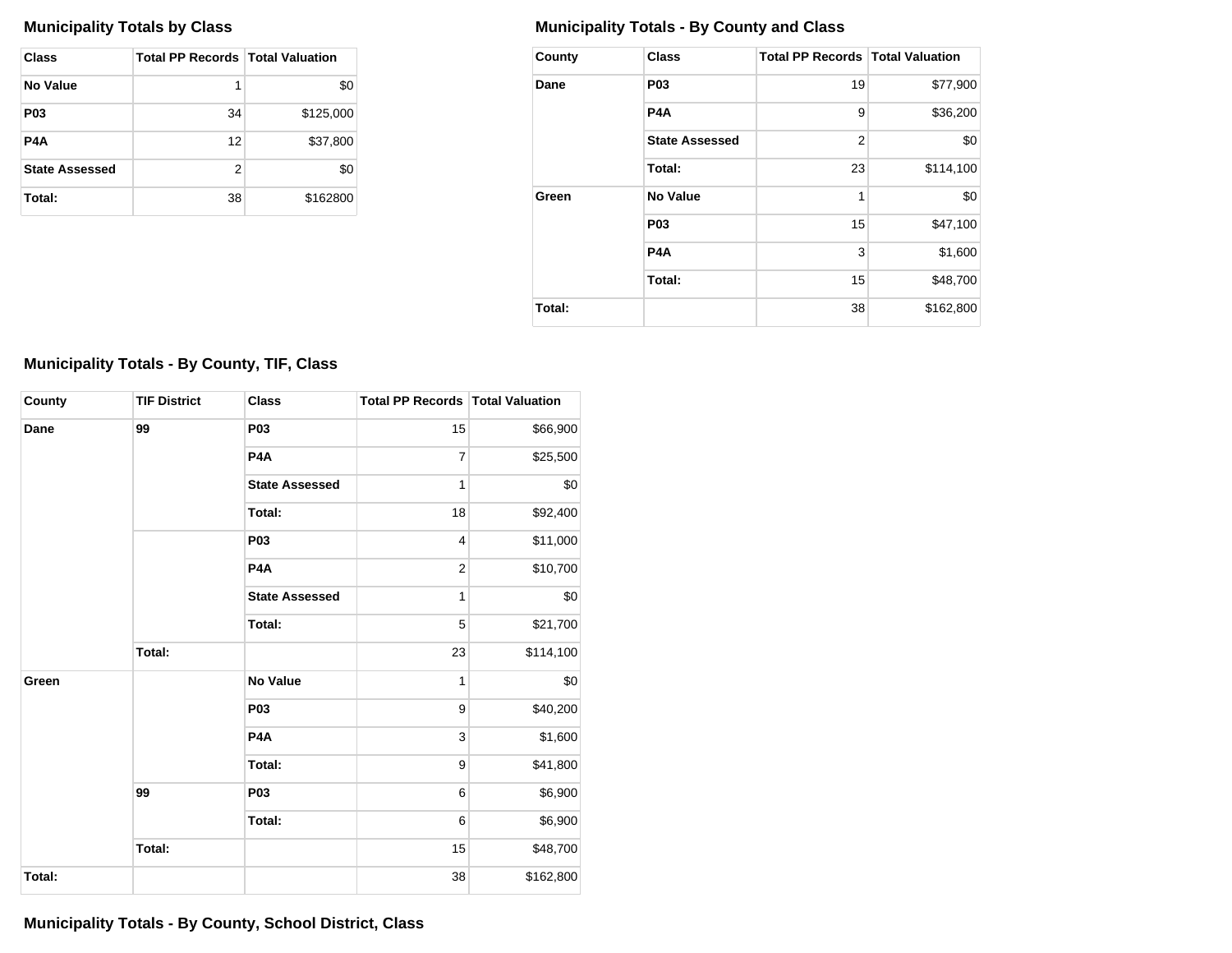| Class                 | <b>Total PP Records   Total Valuation</b> |           |
|-----------------------|-------------------------------------------|-----------|
| No Value              | 1                                         | \$0       |
| <b>P03</b>            | 34                                        | \$125,000 |
| P4A                   | 12                                        | \$37,800  |
| <b>State Assessed</b> | 2                                         | \$0       |
| Total:                | 38                                        | \$162800  |

# **Municipality Totals by Class Municipality Totals - By County and Class**

| County | <b>Class</b>          | <b>Total PP Records   Total Valuation</b> |           |
|--------|-----------------------|-------------------------------------------|-----------|
| Dane   | P <sub>0</sub> 3      | 19                                        | \$77,900  |
|        | P4A                   | 9                                         | \$36,200  |
|        | <b>State Assessed</b> | $\overline{2}$                            | \$0       |
|        | Total:                | 23                                        | \$114,100 |
| Green  | No Value              | 1                                         | \$0       |
|        | P <sub>0</sub> 3      | 15                                        | \$47,100  |
|        | P4A                   | 3                                         | \$1,600   |
|        | Total:                | 15                                        | \$48,700  |
| Total: |                       | 38                                        | \$162,800 |

# **Municipality Totals - By County, TIF, Class**

| County | <b>TIF District</b> | <b>Class</b>          | <b>Total PP Records   Total Valuation</b> |           |
|--------|---------------------|-----------------------|-------------------------------------------|-----------|
| Dane   | 99                  | P03                   | 15                                        | \$66,900  |
|        |                     | P <sub>4</sub> A      | 7                                         | \$25,500  |
|        |                     | <b>State Assessed</b> | 1                                         | \$0       |
|        |                     | Total:                | 18                                        | \$92,400  |
|        |                     | P03                   | 4                                         | \$11,000  |
|        |                     | P <sub>4</sub> A      | $\overline{c}$                            | \$10,700  |
|        |                     | <b>State Assessed</b> | 1                                         | \$0       |
|        |                     | Total:                | 5                                         | \$21,700  |
|        | Total:              |                       | 23                                        | \$114,100 |
| Green  |                     | <b>No Value</b>       | 1                                         | \$0       |
|        |                     | <b>P03</b>            | 9                                         | \$40,200  |
|        |                     | P <sub>4</sub> A      | 3                                         | \$1,600   |
|        |                     | Total:                | 9                                         | \$41,800  |
|        | 99                  | P03                   | $\,6$                                     | \$6,900   |
|        |                     | Total:                | $\,6$                                     | \$6,900   |
|        | Total:              |                       | 15                                        | \$48,700  |
| Total: |                     |                       | 38                                        | \$162,800 |

**Municipality Totals - By County, School District, Class**